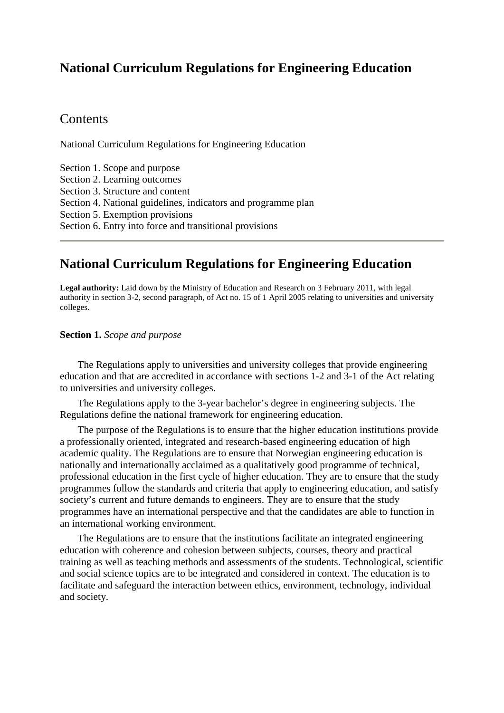# **National Curriculum Regulations for Engineering Education**

## **Contents**

National Curriculum Regulations for Engineering Education

Section [1. Scope and purpose](http://www.lovdata.no/cgi-wift/ldles?ltdoc=/for/ff-20110203-0107.html%231%231)  Section [2. Learning outcomes](http://www.lovdata.no/cgi-wift/ldles?ltdoc=/for/ff-20110203-0107.html%232%232) Section [3. Structure and content](http://www.lovdata.no/cgi-wift/ldles?ltdoc=/for/ff-20110203-0107.html%233%233)  Section [4. National guidelines, indicators and programme plan](http://www.lovdata.no/cgi-wift/ldles?ltdoc=/for/ff-20110203-0107.html%234%234) Section [5. Exemption provisions](http://www.lovdata.no/cgi-wift/ldles?ltdoc=/for/ff-20110203-0107.html%235%235)  Section [6. Entry into force and transitional provisions](http://www.lovdata.no/cgi-wift/ldles?ltdoc=/for/ff-20110203-0107.html%236%236) 

## **National Curriculum Regulations for Engineering Education**

**Legal authority:** Laid down by the Ministry of Education and Research on 3 February 2011, with legal authority in section 3-2, second paragraph, of Act no. 15 of 1 April 2005 relating to universities and university colleges.

## **Section 1.** *Scope and purpose*

 The Regulations apply to universities and university colleges that provide engineering education and that are accredited in accordance with sections 1-2 and 3-1 of the Act relating to universities and university colleges.

 The Regulations apply to the 3-year bachelor's degree in engineering subjects. The Regulations define the national framework for engineering education.

 The purpose of the Regulations is to ensure that the higher education institutions provide a professionally oriented, integrated and research-based engineering education of high academic quality. The Regulations are to ensure that Norwegian engineering education is nationally and internationally acclaimed as a qualitatively good programme of technical, professional education in the first cycle of higher education. They are to ensure that the study programmes follow the standards and criteria that apply to engineering education, and satisfy society's current and future demands to engineers. They are to ensure that the study programmes have an international perspective and that the candidates are able to function in an international working environment.

 The Regulations are to ensure that the institutions facilitate an integrated engineering education with coherence and cohesion between subjects, courses, theory and practical training as well as teaching methods and assessments of the students. Technological, scientific and social science topics are to be integrated and considered in context. The education is to facilitate and safeguard the interaction between ethics, environment, technology, individual and society.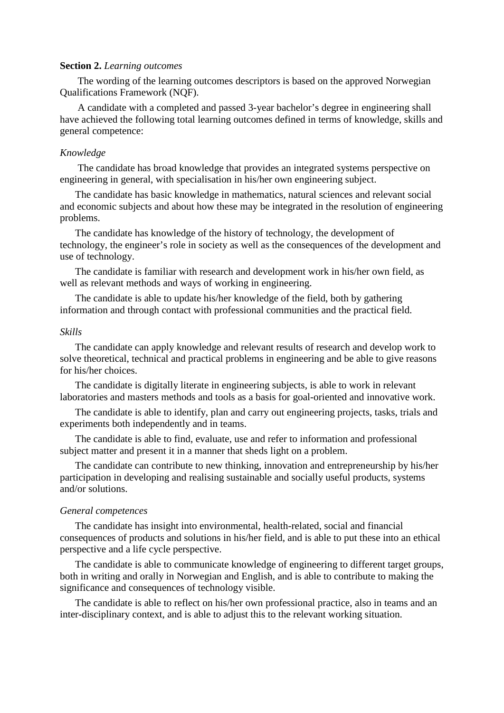#### **Section 2.** *Learning outcomes*

 The wording of the learning outcomes descriptors is based on the approved Norwegian Qualifications Framework (NQF).

 A candidate with a completed and passed 3-year bachelor's degree in engineering shall have achieved the following total learning outcomes defined in terms of knowledge, skills and general competence:

## *Knowledge*

 The candidate has broad knowledge that provides an integrated systems perspective on engineering in general, with specialisation in his/her own engineering subject.

 The candidate has basic knowledge in mathematics, natural sciences and relevant social and economic subjects and about how these may be integrated in the resolution of engineering problems.

 The candidate has knowledge of the history of technology, the development of technology, the engineer's role in society as well as the consequences of the development and use of technology.

 The candidate is familiar with research and development work in his/her own field, as well as relevant methods and ways of working in engineering.

 The candidate is able to update his/her knowledge of the field, both by gathering information and through contact with professional communities and the practical field.

## *Skills*

 The candidate can apply knowledge and relevant results of research and develop work to solve theoretical, technical and practical problems in engineering and be able to give reasons for his/her choices.

 The candidate is digitally literate in engineering subjects, is able to work in relevant laboratories and masters methods and tools as a basis for goal-oriented and innovative work.

 The candidate is able to identify, plan and carry out engineering projects, tasks, trials and experiments both independently and in teams.

 The candidate is able to find, evaluate, use and refer to information and professional subject matter and present it in a manner that sheds light on a problem.

 The candidate can contribute to new thinking, innovation and entrepreneurship by his/her participation in developing and realising sustainable and socially useful products, systems and/or solutions.

#### *General competences*

 The candidate has insight into environmental, health-related, social and financial consequences of products and solutions in his/her field, and is able to put these into an ethical perspective and a life cycle perspective.

 The candidate is able to communicate knowledge of engineering to different target groups, both in writing and orally in Norwegian and English, and is able to contribute to making the significance and consequences of technology visible.

 The candidate is able to reflect on his/her own professional practice, also in teams and an inter-disciplinary context, and is able to adjust this to the relevant working situation.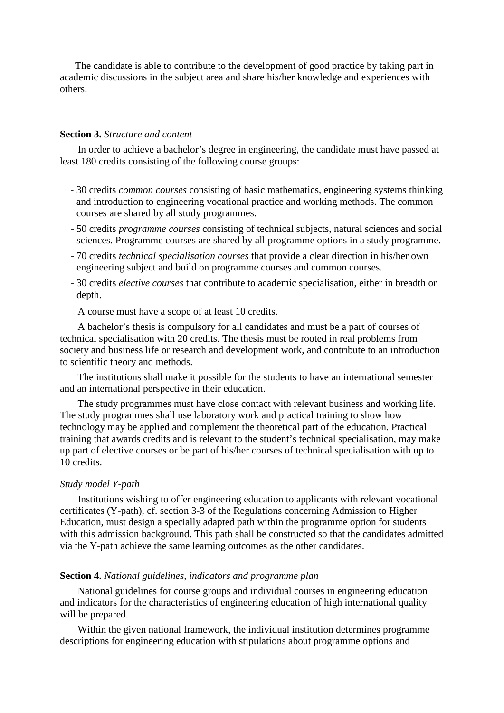The candidate is able to contribute to the development of good practice by taking part in academic discussions in the subject area and share his/her knowledge and experiences with others.

## **Section 3.** *Structure and content*

 In order to achieve a bachelor's degree in engineering, the candidate must have passed at least 180 credits consisting of the following course groups:

- 30 credits *common courses* consisting of basic mathematics, engineering systems thinking and introduction to engineering vocational practice and working methods. The common courses are shared by all study programmes.
- 50 credits *programme courses* consisting of technical subjects, natural sciences and social sciences. Programme courses are shared by all programme options in a study programme.
- 70 credits *technical specialisation courses* that provide a clear direction in his/her own engineering subject and build on programme courses and common courses.
- 30 credits *elective courses* that contribute to academic specialisation, either in breadth or depth.

A course must have a scope of at least 10 credits.

 A bachelor's thesis is compulsory for all candidates and must be a part of courses of technical specialisation with 20 credits. The thesis must be rooted in real problems from society and business life or research and development work, and contribute to an introduction to scientific theory and methods.

 The institutions shall make it possible for the students to have an international semester and an international perspective in their education.

 The study programmes must have close contact with relevant business and working life. The study programmes shall use laboratory work and practical training to show how technology may be applied and complement the theoretical part of the education. Practical training that awards credits and is relevant to the student's technical specialisation, may make up part of elective courses or be part of his/her courses of technical specialisation with up to 10 credits.

#### *Study model Y-path*

 Institutions wishing to offer engineering education to applicants with relevant vocational certificates (Y-path), cf. section 3-3 of the Regulations concerning Admission to Higher Education, must design a specially adapted path within the programme option for students with this admission background. This path shall be constructed so that the candidates admitted via the Y-path achieve the same learning outcomes as the other candidates.

## **Section 4.** *National guidelines, indicators and programme plan*

 National guidelines for course groups and individual courses in engineering education and indicators for the characteristics of engineering education of high international quality will be prepared.

 Within the given national framework, the individual institution determines programme descriptions for engineering education with stipulations about programme options and